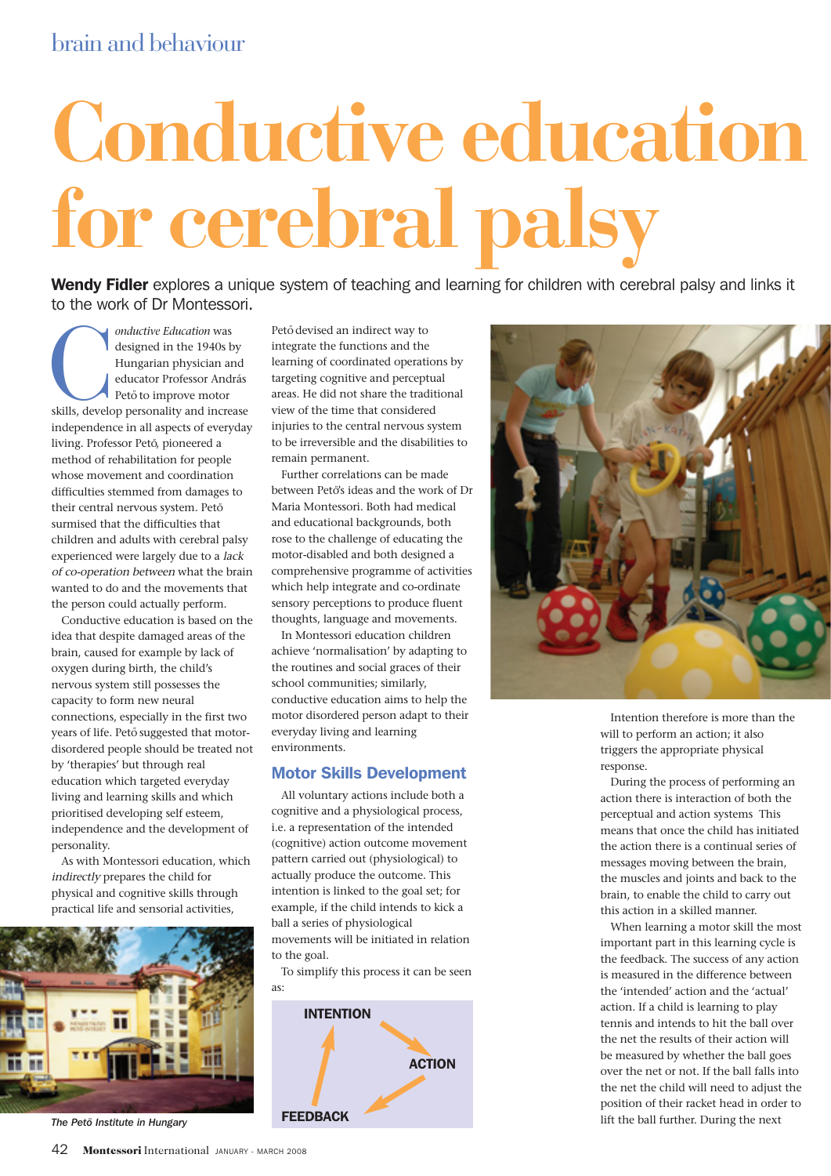## brain and behaviour

# **Conductive education for cerebral palsy**

Wendy Fidler explores a unique system of teaching and learning for children with cerebral palsy and links it to the work of Dr Montessori.

*Conductive Education* was<br>designed in the 1940s by<br>Hungarian physician and<br>educator Professor András<br>Pető to improve motor<br>skills, develop personality and increase designed in the 1940s by Hungarian physician and educator Professor András Pető to improve motor independence in all aspects of everyday living. Professor Pető, pioneered a method of rehabilitation for people whose movement and coordination difficulties stemmed from damages to their central nervous system. Pető surmised that the difficulties that children and adults with cerebral palsy experienced were largely due to a lack of co-operation between what the brain wanted to do and the movements that the person could actually perform.

Conductive education is based on the idea that despite damaged areas of the brain, caused for example by lack of oxygen during birth, the child's nervous system still possesses the capacity to form new neural connections, especially in the first two years of life. Pető suggested that motordisordered people should be treated not by 'therapies' but through real education which targeted everyday living and learning skills and which prioritised developing self esteem, independence and the development of personality.

As with Montessori education, which indirectly prepares the child for physical and cognitive skills through practical life and sensorial activities,



*The Petö Institute in Hungary*

Pető devised an indirect way to integrate the functions and the learning of coordinated operations by targeting cognitive and perceptual areas. He did not share the traditional view of the time that considered injuries to the central nervous system to be irreversible and the disabilities to remain permanent.

Further correlations can be made between Pető's ideas and the work of Dr Maria Montessori. Both had medical and educational backgrounds, both rose to the challenge of educating the motor-disabled and both designed a comprehensive programme of activities which help integrate and co-ordinate sensory perceptions to produce fluent thoughts, language and movements.

In Montessori education children achieve 'normalisation' by adapting to the routines and social graces of their school communities; similarly, conductive education aims to help the motor disordered person adapt to their everyday living and learning environments.

#### Motor Skills Development

All voluntary actions include both a cognitive and a physiological process, i.e. a representation of the intended (cognitive) action outcome movement pattern carried out (physiological) to actually produce the outcome. This intention is linked to the goal set; for example, if the child intends to kick a ball a series of physiological movements will be initiated in relation to the goal.

To simplify this process it can be seen as:





Intention therefore is more than the will to perform an action; it also triggers the appropriate physical response.

During the process of performing an action there is interaction of both the perceptual and action systems This means that once the child has initiated the action there is a continual series of messages moving between the brain, the muscles and joints and back to the brain, to enable the child to carry out this action in a skilled manner.

When learning a motor skill the most important part in this learning cycle is the feedback. The success of any action is measured in the difference between the 'intended' action and the 'actual' action. If a child is learning to play tennis and intends to hit the ball over the net the results of their action will be measured by whether the ball goes over the net or not. If the ball falls into the net the child will need to adjust the position of their racket head in order to lift the ball further. During the next